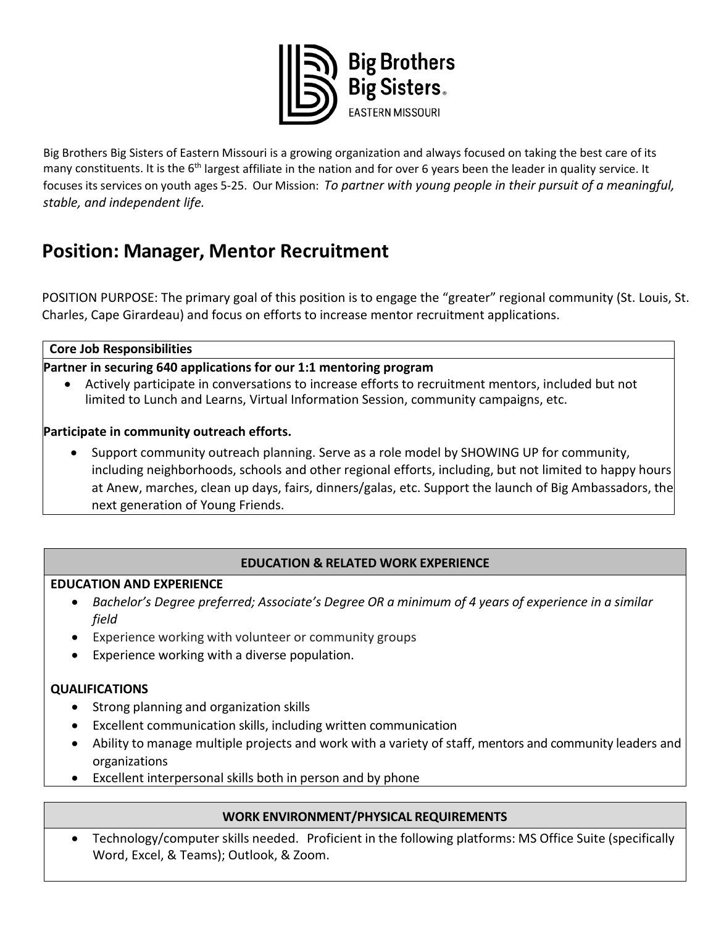

Big Brothers Big Sisters of Eastern Missouri is a growing organization and always focused on taking the best care of its many constituents. It is the  $6<sup>th</sup>$  largest affiliate in the nation and for over 6 years been the leader in quality service. It focuses its services on youth ages 5-25. Our Mission: *To partner with young people in their pursuit of a meaningful, stable, and independent life.* 

# **Position: Manager, Mentor Recruitment**

POSITION PURPOSE: The primary goal of this position is to engage the "greater" regional community (St. Louis, St. Charles, Cape Girardeau) and focus on efforts to increase mentor recruitment applications.

**Core Job Responsibilities**

**Partner in securing 640 applications for our 1:1 mentoring program**

• Actively participate in conversations to increase efforts to recruitment mentors, included but not limited to Lunch and Learns, Virtual Information Session, community campaigns, etc.

## **Participate in community outreach efforts.**

• Support community outreach planning. Serve as a role model by SHOWING UP for community, including neighborhoods, schools and other regional efforts, including, but not limited to happy hours at Anew, marches, clean up days, fairs, dinners/galas, etc. Support the launch of Big Ambassadors, the next generation of Young Friends.

## **EDUCATION & RELATED WORK EXPERIENCE**

#### **EDUCATION AND EXPERIENCE**

- *Bachelor's Degree preferred; Associate's Degree OR a minimum of 4 years of experience in a similar field*
- Experience working with volunteer or community groups
- Experience working with a diverse population.

## **QUALIFICATIONS**

- Strong planning and organization skills
- Excellent communication skills, including written communication
- Ability to manage multiple projects and work with a variety of staff, mentors and community leaders and organizations
- Excellent interpersonal skills both in person and by phone

## **WORK ENVIRONMENT/PHYSICAL REQUIREMENTS**

• Technology/computer skills needed. Proficient in the following platforms: MS Office Suite (specifically Word, Excel, & Teams); Outlook, & Zoom.